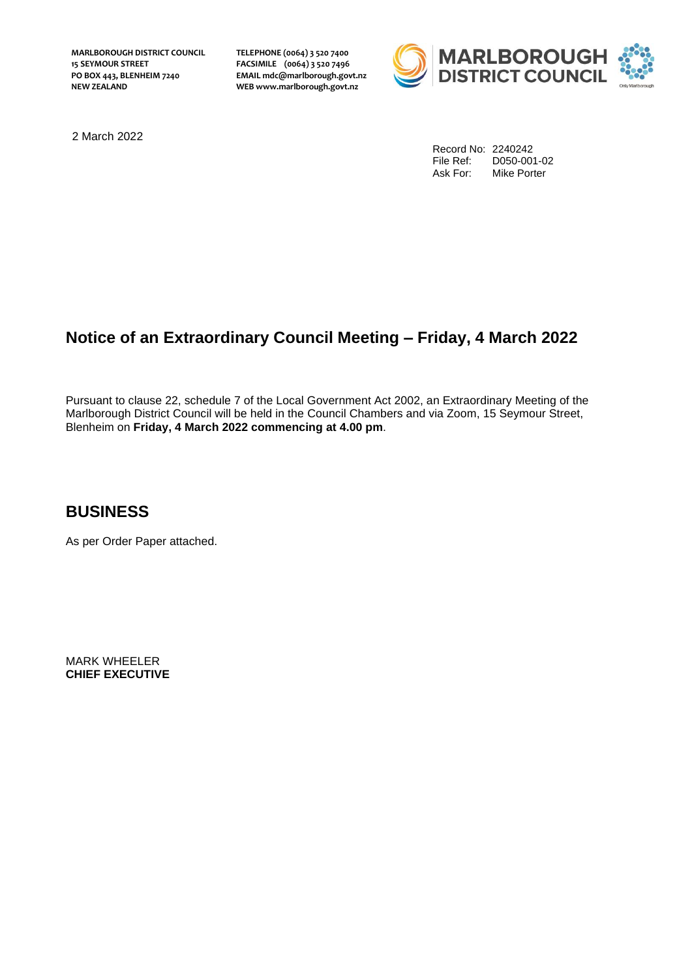**MARLBOROUGH DISTRICT COUNCIL 15 SEYMOUR STREET PO BOX 443, BLENHEIM 7240 NEW ZEALAND**

**TELEPHONE (0064) 3 520 7400 FACSIMILE (0064) 3 520 7496 EMAIL mdc@marlborough.govt.nz WEB www.marlborough.govt.nz**



2 March 2022

Record No: 2240242 File Ref: D050-001-02<br>Ask For: Mike Porter Mike Porter

# **Notice of an Extraordinary Council Meeting – Friday, 4 March 2022**

Pursuant to clause 22, schedule 7 of the Local Government Act 2002, an Extraordinary Meeting of the Marlborough District Council will be held in the Council Chambers and via Zoom, 15 Seymour Street, Blenheim on **Friday, 4 March 2022 commencing at 4.00 pm**.

### **BUSINESS**

As per Order Paper attached.

MARK WHEELER **CHIEF EXECUTIVE**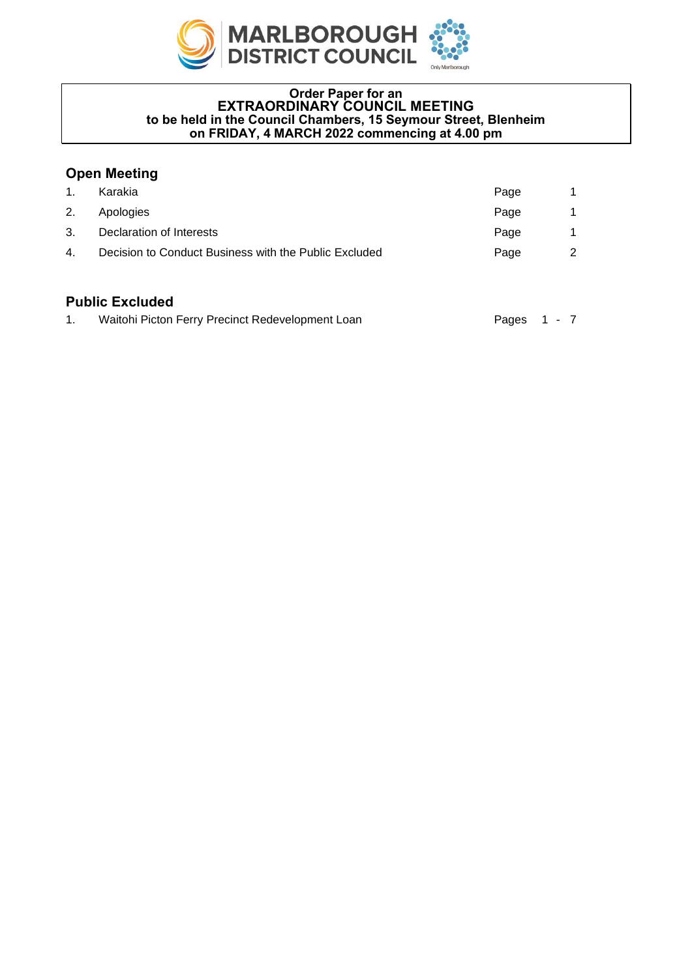

#### **Order Paper for an EXTRAORDINARY COUNCIL MEETING to be held in the Council Chambers, 15 Seymour Street, Blenheim on FRIDAY, 4 MARCH 2022 commencing at 4.00 pm**

### **Open Meeting**

| Karakia                                               | Page |   |
|-------------------------------------------------------|------|---|
| Apologies                                             | Page |   |
| Declaration of Interests                              | Page |   |
| Decision to Conduct Business with the Public Excluded | Page | 2 |
|                                                       |      |   |

### **Public Excluded**

| Waitohi Picton Ferry Precinct Redevelopment Loan | Pages 1 - 7 |  |
|--------------------------------------------------|-------------|--|
|                                                  |             |  |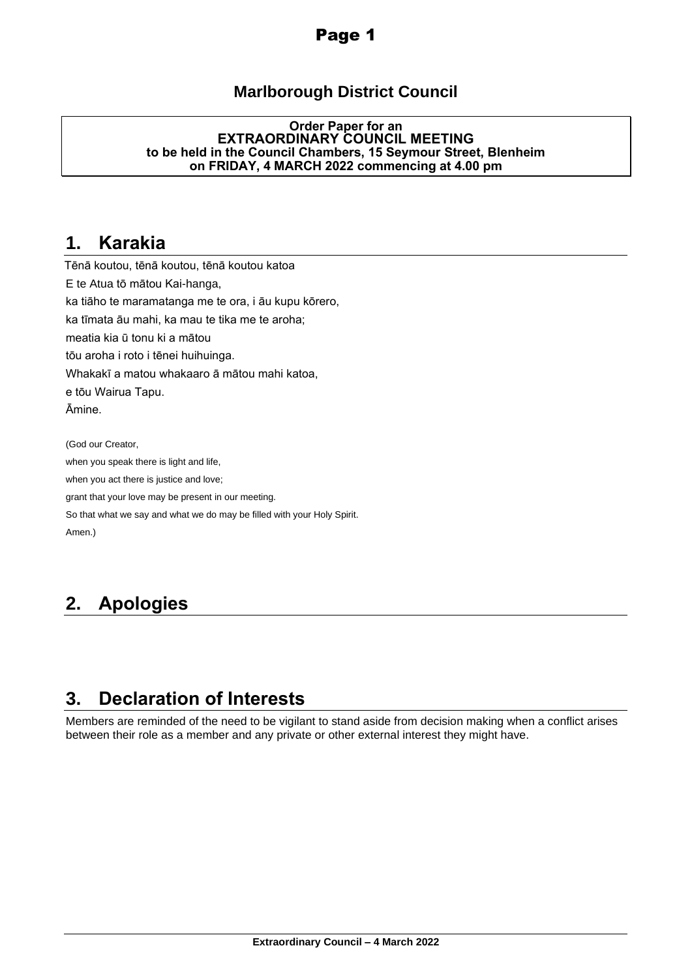## Page 1

## **Marlborough District Council**

#### **Order Paper for an EXTRAORDINARY COUNCIL MEETING to be held in the Council Chambers, 15 Seymour Street, Blenheim on FRIDAY, 4 MARCH 2022 commencing at 4.00 pm**

## <span id="page-2-0"></span>**1. Karakia**

Tēnā koutou, tēnā koutou, tēnā koutou katoa E te Atua tō mātou Kai-hanga, ka tiāho te maramatanga me te ora, i āu kupu kōrero, ka tīmata āu mahi, ka mau te tika me te aroha; meatia kia ū tonu ki a mātou tōu aroha i roto i tēnei huihuinga. Whakakī a matou whakaaro ā mātou mahi katoa, e tōu Wairua Tapu. Āmine. (God our Creator,

when you speak there is light and life, when you act there is justice and love; grant that your love may be present in our meeting. So that what we say and what we do may be filled with your Holy Spirit. Amen.)

# <span id="page-2-1"></span>**2. Apologies**

# <span id="page-2-2"></span>**3. Declaration of Interests**

Members are reminded of the need to be vigilant to stand aside from decision making when a conflict arises between their role as a member and any private or other external interest they might have.